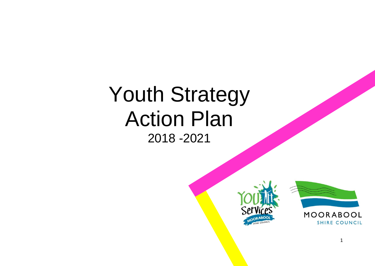# Youth Strategy Action Plan 2018 -2021

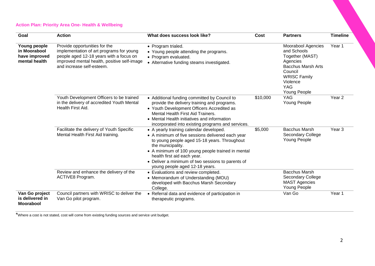# **Action Plan: Priority Area One- Health & Wellbeing**

| Goal                                                           | <b>Action</b>                                                                                                                                                                                    | What does success look like?                                                                                                                                                                                                                                                                                                                | Cost     | <b>Partners</b>                                                                                                                                                                         | <b>Timeline</b>   |
|----------------------------------------------------------------|--------------------------------------------------------------------------------------------------------------------------------------------------------------------------------------------------|---------------------------------------------------------------------------------------------------------------------------------------------------------------------------------------------------------------------------------------------------------------------------------------------------------------------------------------------|----------|-----------------------------------------------------------------------------------------------------------------------------------------------------------------------------------------|-------------------|
| Young people<br>in Moorabool<br>have improved<br>mental health | Provide opportunities for the<br>implementation of art programs for young<br>people aged 12-18 years with a focus on<br>improved mental health, positive self-image<br>and increase self-esteem. | • Program trialed.<br>• Young people attending the programs.<br>• Program evaluated.<br>• Alternative funding steams investigated.                                                                                                                                                                                                          |          | <b>Moorabool Agencies</b><br>and Schools<br>Together (MAST)<br>Agencies<br><b>Bacchus Marsh Arts</b><br>Council<br><b>WRISC Family</b><br>Violence<br><b>YAG</b><br><b>Young People</b> | Year 1            |
|                                                                | Youth Development Officers to be trained<br>in the delivery of accredited Youth Mental<br>Health First Aid.                                                                                      | • Additional funding committed by Council to<br>provide the delivery training and programs.<br>• Youth Development Officers Accredited as<br>Mental Health First Aid Trainers.<br>• Mental Health initiatives and information<br>incorporated into existing programs and services.                                                          | \$10,000 | <b>YAG</b><br>Young People                                                                                                                                                              | Year <sub>2</sub> |
|                                                                | Facilitate the delivery of Youth Specific<br>Mental Health First Aid training.                                                                                                                   | • A yearly training calendar developed.<br>• A minimum of five sessions delivered each year<br>to young people aged 15-18 years. Throughout<br>the municipality.<br>• A minimum of 100 young people trained in mental<br>health first aid each year.<br>• Deliver a minimum of two sessions to parents of<br>young people aged 12-18 years. | \$5,000  | <b>Bacchus Marsh</b><br>Secondary College<br>Young People                                                                                                                               | Year <sub>3</sub> |
|                                                                | Review and enhance the delivery of the<br>ACTIVE8 Program.                                                                                                                                       | • Evaluations and review completed.<br>• Memorandum of Understanding (MOU)<br>developed with Bacchus Marsh Secondary<br>College.                                                                                                                                                                                                            |          | <b>Bacchus Marsh</b><br>Secondary College<br><b>MAST Agencies</b><br>Young People                                                                                                       |                   |
| Van Go project<br>is delivered in<br><b>Moorabool</b>          | Council partners with WRISC to deliver the<br>Van Go pilot program.                                                                                                                              | • Referral data and evidence of participation in<br>therapeutic programs.                                                                                                                                                                                                                                                                   |          | Van Go                                                                                                                                                                                  | Year 1            |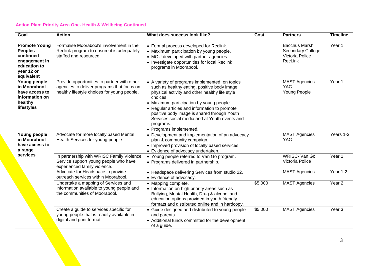# **Action Plan: Priority Area One- Health & Wellbeing Continued**

| Goal                                                                                                             | <b>Action</b>                                                                                                                            | What does success look like?                                                                                                                                                                                                                                                                                                                                                                      | Cost    | <b>Partners</b>                                                                | <b>Timeline</b>   |
|------------------------------------------------------------------------------------------------------------------|------------------------------------------------------------------------------------------------------------------------------------------|---------------------------------------------------------------------------------------------------------------------------------------------------------------------------------------------------------------------------------------------------------------------------------------------------------------------------------------------------------------------------------------------------|---------|--------------------------------------------------------------------------------|-------------------|
| <b>Promote Young</b><br><b>Peoples</b><br>continued<br>engagement in<br>education to<br>year 12 or<br>equivalent | Formalise Moorabool's involvement in the<br>Reclink program to ensure it is adequately<br>staffed and resourced.                         | • Formal process developed for Reclink.<br>• Maximum participation by young people.<br>• MOU developed with partner agencies.<br>• Investigate opportunities for local Reclink<br>programs in Moorabool.                                                                                                                                                                                          |         | <b>Bacchus Marsh</b><br><b>Secondary College</b><br>Victoria Police<br>RecLink | Year 1            |
| Young people<br>in Moorabool<br>have access to<br>information on<br>healthy<br>lifestyles                        | Provide opportunities to partner with other<br>agencies to deliver programs that focus on<br>healthy lifestyle choices for young people. | • A variety of programs implemented, on topics<br>such as healthy eating, positive body image,<br>physical activity and other healthy life style<br>choices.<br>• Maximum participation by young people.<br>• Regular articles and information to promote<br>positive body image is shared through Youth<br>Services social media and at Youth events and<br>programs.<br>• Programs implemented. |         | <b>MAST Agencies</b><br><b>YAG</b><br>Young People                             | Year 1            |
| Young people<br>in Moorabool<br>have access to<br>a range                                                        | Advocate for more locally based Mental<br>Health Services for young people.                                                              | • Development and implementation of an advocacy<br>plan & community campaign.<br>• Improved provision of locally based services.<br>• Evidence of advocacy undertaken.                                                                                                                                                                                                                            |         | <b>MAST Agencies</b><br>YAG                                                    | Years 1-3         |
| services                                                                                                         | In partnership with WRISC Family Violence<br>Service support young people who have<br>experienced family violence.                       | • Young people referred to Van Go program.<br>• Programs delivered in partnership.                                                                                                                                                                                                                                                                                                                |         | <b>WRISC- Van Go</b><br>Victoria Police                                        | Year 1            |
|                                                                                                                  | Advocate for Headspace to provide<br>outreach services within Moorabool.                                                                 | • Headspace delivering Services from studio 22.<br>• Evidence of advocacy.                                                                                                                                                                                                                                                                                                                        |         | <b>MAST Agencies</b>                                                           | Year 1-2          |
|                                                                                                                  | Undertake a mapping of Services and<br>information available to young people and<br>the communities of Moorabool.                        | • Mapping complete.<br>• Information on high priority areas such as<br>Bullying, Mental Health, Drug & alcohol and<br>education options provided in youth friendly<br>formats and distributed online and in hardcopy.                                                                                                                                                                             | \$5,000 | <b>MAST</b> Agencies                                                           | Year <sub>2</sub> |
|                                                                                                                  | Create a guide to services specific for<br>young people that is readily available in<br>digital and print format.                        | • Guide designed and distributed to young people<br>and parents.<br>• Additional funds committed for the development<br>of a guide.                                                                                                                                                                                                                                                               | \$5,000 | <b>MAST Agencies</b>                                                           | Year <sub>3</sub> |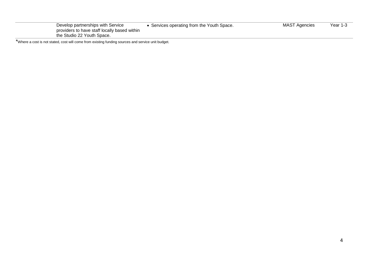| providers to have staff locally based within<br>the Studio 22 Youth Space. |                                          |                      |          |
|----------------------------------------------------------------------------|------------------------------------------|----------------------|----------|
| Develop partnerships with Service                                          | Services operating from the Youth Space. | <b>MAST Agencies</b> | Year 1-3 |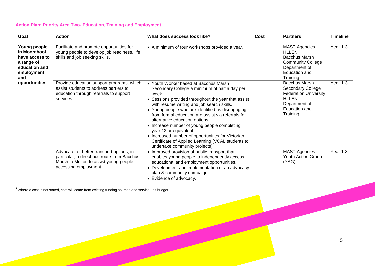# **Action Plan: Priority Area Two- Education, Training and Employment**

| Goal                                                                                                                | <b>Action</b>                                                                                                                                               | What does success look like?                                                                                                                                                                                                                                                                                                                                                                                                                                                                                                                                           | Cost | <b>Partners</b>                                                                                                                                | <b>Timeline</b> |
|---------------------------------------------------------------------------------------------------------------------|-------------------------------------------------------------------------------------------------------------------------------------------------------------|------------------------------------------------------------------------------------------------------------------------------------------------------------------------------------------------------------------------------------------------------------------------------------------------------------------------------------------------------------------------------------------------------------------------------------------------------------------------------------------------------------------------------------------------------------------------|------|------------------------------------------------------------------------------------------------------------------------------------------------|-----------------|
| Young people<br>in Moorabool<br>have access to<br>a range of<br>education and<br>employment<br>and<br>opportunities | Facilitate and promote opportunities for<br>young people to develop job readiness, life<br>skills and job seeking skills.                                   | • A minimum of four workshops provided a year.                                                                                                                                                                                                                                                                                                                                                                                                                                                                                                                         |      | <b>MAST Agencies</b><br><b>HLLEN</b><br><b>Bacchus Marsh</b><br><b>Community College</b><br>Department of<br><b>Education and</b><br>Training  | Year 1-3        |
|                                                                                                                     | Provide education support programs, which<br>assist students to address barriers to<br>education through referrals to support<br>services.                  | • Youth Worker based at Bacchus Marsh<br>Secondary College a minimum of half a day per<br>week.<br>• Sessions provided throughout the year that assist<br>with resume writing and job search skills.<br>• Young people who are identified as disengaging<br>from formal education are assist via referrals for<br>alternative education options.<br>• Increase number of young people completing<br>year 12 or equivalent.<br>• Increased number of opportunities for Victorian<br>Certificate of Applied Learning (VCAL students to<br>undertake community projects). |      | <b>Bacchus Marsh</b><br>Secondary College<br><b>Federation University</b><br><b>HLLEN</b><br>Department of<br><b>Education and</b><br>Training | Year 1-3        |
|                                                                                                                     | Advocate for better transport options, in<br>particular, a direct bus route from Bacchus<br>Marsh to Melton to assist young people<br>accessing employment. | • Improved provision of public transport that<br>enables young people to independently access<br>educational and employment opportunities.<br>• Development and implementation of an advocacy<br>plan & community campaign.<br>• Evidence of advocacy.                                                                                                                                                                                                                                                                                                                 |      | <b>MAST Agencies</b><br>Youth Action Group<br>(YAG)                                                                                            | Year 1-3        |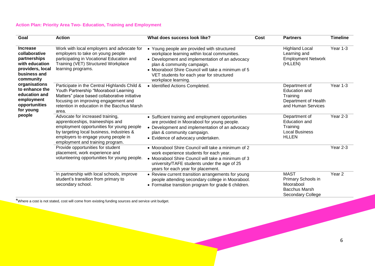#### **Action Plan: Priority Area Two- Education, Training and Employment**

| Goal                                                                                                                                                                                                                          | <b>Action</b>                                                                                                                                                                                                                              | What does success look like?                                                                                                                                                                                                                                                                           | Cost | <b>Partners</b>                                                                                    | <b>Timeline</b>   |
|-------------------------------------------------------------------------------------------------------------------------------------------------------------------------------------------------------------------------------|--------------------------------------------------------------------------------------------------------------------------------------------------------------------------------------------------------------------------------------------|--------------------------------------------------------------------------------------------------------------------------------------------------------------------------------------------------------------------------------------------------------------------------------------------------------|------|----------------------------------------------------------------------------------------------------|-------------------|
| <b>Increase</b><br>collaborative<br>partnerships<br>with education<br>providers, local<br>business and<br>community<br>organisations<br>to enhance the<br>education and<br>employment<br>opportunities<br>for young<br>people | Work with local employers and advocate for<br>employers to take on young people<br>participating in Vocational Education and<br>Training (VET) Structured Workplace<br>learning programs.                                                  | • Young people are provided with structured<br>workplace learning within local communities.<br>• Development and implementation of an advocacy<br>plan & community campaign.<br>• Moorabool Shire Council will take a minimum of 5<br>VET students for each year for structured<br>workplace learning. |      | <b>Highland Local</b><br>Learning and<br><b>Employment Network</b><br>(HLLEN)                      | Year 1-3          |
|                                                                                                                                                                                                                               | Participate in the Central Highlands Child &<br>Youth Partnership "Moorabool Learning<br>Matters" place based collaborative initiative<br>focusing on improving engagement and<br>retention in education in the Bacchus Marsh<br>area.     | · Identified Actions Completed.                                                                                                                                                                                                                                                                        |      | Department of<br>Education and<br>Training<br>Department of Health<br>and Human Services           | Year 1-3          |
|                                                                                                                                                                                                                               | Advocate for increased training,<br>apprenticeships, traineeships and<br>employment opportunities for young people<br>by targeting local business, industries &<br>employers to engage young people in<br>employment and training program. | • Sufficient training and employment opportunities<br>are provided in Moorabool for young people.<br>• Development and implementation of an advocacy<br>plan & community campaign.<br>• Evidence of advocacy undertaken.                                                                               |      | Department of<br>Education and<br>Training<br><b>Local Business</b><br><b>HLLEN</b>                | Year 2-3          |
|                                                                                                                                                                                                                               | Provide opportunities for student<br>placement, work experience and<br>volunteering opportunities for young people.                                                                                                                        | • Moorabool Shire Council will take a minimum of 2<br>work experience students for each year.<br>• Moorabool Shire Council will take a minimum of 3<br>university/TAFE students under the age of 25<br>years for each year for placement.                                                              |      |                                                                                                    | Year 2-3          |
|                                                                                                                                                                                                                               | In partnership with local schools, improve<br>student's transition from primary to<br>secondary school.                                                                                                                                    | • Review current transition arrangements for young<br>people attending secondary college in Moorabool.<br>• Formalise transition program for grade 6 children.                                                                                                                                         |      | <b>MAST</b><br>Primary Schools in<br>Moorabool<br><b>Bacchus Marsh</b><br><b>Secondary College</b> | Year <sub>2</sub> |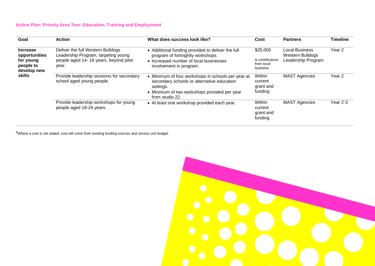# **Action Plan: Priority Area Two- Education, Training and Employment**

| Goal                                                                      | <b>Action</b>                                                                                                              | What does success look like?                                                                                                                                                     | Cost                                                  | <b>Partners</b>                                                        | <b>Timeline</b> |
|---------------------------------------------------------------------------|----------------------------------------------------------------------------------------------------------------------------|----------------------------------------------------------------------------------------------------------------------------------------------------------------------------------|-------------------------------------------------------|------------------------------------------------------------------------|-----------------|
| <b>Increase</b><br>opportunities<br>for young<br>people to<br>develop new | Deliver the full Western Bulldogs<br>Leadership Program, targeting young<br>people aged 14-16 years, beyond pilot<br>year. | • Additional funding provided to deliver the full<br>program of fortnightly workshops.<br>• Increased number of local businesses<br>involvement in program.                      | \$25,000<br>& contributions<br>from local<br>business | <b>Local Business</b><br><b>Western Bulldogs</b><br>Leadership Program | Year 2          |
| skills                                                                    | Provide leadership sessions for secondary<br>school aged young people.                                                     | • Minimum of four workshops in schools per year at<br>secondary schools or alternative education<br>settings.<br>• Minimum of two workshops provided per year<br>from studio 22. | Within<br>current<br>grant and<br>funding             | <b>MAST Agencies</b>                                                   | Year 2          |
|                                                                           | Provide leadership workshops for young<br>people aged 18-24 years.                                                         | • At least one workshop provided each year.                                                                                                                                      | Within<br>current<br>grant and<br>funding             | <b>MAST Agencies</b>                                                   | Year 2-3        |

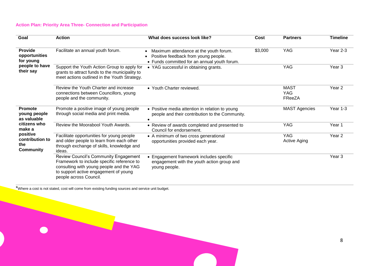# **Action Plan: Priority Area Three- Connection and Participation**

| Goal                                                                                                                       | <b>Action</b>                                                                                                                                                                                      | What does success look like?                                                                                                   | Cost    | <b>Partners</b>                     | <b>Timeline</b>   |
|----------------------------------------------------------------------------------------------------------------------------|----------------------------------------------------------------------------------------------------------------------------------------------------------------------------------------------------|--------------------------------------------------------------------------------------------------------------------------------|---------|-------------------------------------|-------------------|
| <b>Provide</b><br>opportunities<br>for young<br>people to have<br>their say                                                | Facilitate an annual youth forum.                                                                                                                                                                  | Maximum attendance at the youth forum.<br>Positive feedback from young people.<br>• Funds committed for an annual youth forum. | \$3,000 | <b>YAG</b>                          | Year 2-3          |
|                                                                                                                            | Support the Youth Action Group to apply for<br>grants to attract funds to the municipality to<br>meet actions outlined in the Youth Strategy.                                                      | • YAG successful in obtaining grants.                                                                                          |         | YAG                                 | Year <sub>3</sub> |
|                                                                                                                            | Review the Youth Charter and increase<br>connections between Councillors, young<br>people and the community.                                                                                       | • Youth Charter reviewed.                                                                                                      |         | <b>MAST</b><br><b>YAG</b><br>FReeZA | Year 2            |
| <b>Promote</b><br>young people<br>as valuable<br>citizens who<br>make a<br>positive<br>contribution to<br>the<br>Community | Promote a positive image of young people<br>through social media and print media.                                                                                                                  | • Positive media attention in relation to young<br>people and their contribution to the Community.                             |         | <b>MAST Agencies</b>                | Year 1-3          |
|                                                                                                                            | Review the Moorabool Youth Awards.                                                                                                                                                                 | • Review of awards completed and presented to<br>Council for endorsement.                                                      |         | <b>YAG</b>                          | Year 1            |
|                                                                                                                            | Facilitate opportunities for young people<br>and older people to learn from each other<br>through exchange of skills, knowledge and<br>ideas.                                                      | • A minimum of two cross generational<br>opportunities provided each year.                                                     |         | <b>YAG</b><br><b>Active Aging</b>   | Year <sub>2</sub> |
|                                                                                                                            | Review Council's Community Engagement<br>Framework to include specific reference to<br>consulting with young people and the YAG<br>to support active engagement of young<br>people across Council. | Engagement framework includes specific<br>engagement with the youth action group and<br>young people.                          |         |                                     | Year <sub>3</sub> |

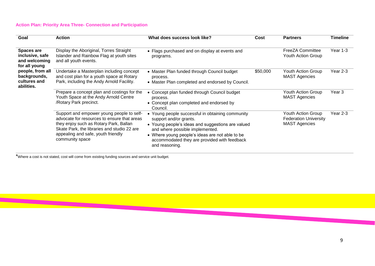#### **Action Plan: Priority Area Three- Connection and Participation**

| Goal                                                            | <b>Action</b>                                                                                                                                                                                                                              | What does success look like?                                                                                                                                                                                                                                                          | Cost     | <b>Partners</b>                                                            | <b>Timeline</b>   |
|-----------------------------------------------------------------|--------------------------------------------------------------------------------------------------------------------------------------------------------------------------------------------------------------------------------------------|---------------------------------------------------------------------------------------------------------------------------------------------------------------------------------------------------------------------------------------------------------------------------------------|----------|----------------------------------------------------------------------------|-------------------|
| Spaces are<br>inclusive, safe<br>and welcoming<br>for all young | Display the Aboriginal, Torres Straight<br>Islander and Rainbow Flag at youth sites<br>and all youth events.                                                                                                                               | • Flags purchased and on display at events and<br>programs.                                                                                                                                                                                                                           |          | FreeZA Committee<br>Youth Action Group                                     | Year 1-3          |
| people, from all<br>backgrounds,<br>cultures and<br>abilities.  | Undertake a Masterplan including concept<br>and cost plan for a youth space at Rotary<br>Park, including the Andy Arnold Facility.                                                                                                         | • Master Plan funded through Council budget<br>process.<br>• Master Plan completed and endorsed by Council.                                                                                                                                                                           | \$50,000 | Youth Action Group<br><b>MAST Agencies</b>                                 | Year 2-3          |
|                                                                 | Prepare a concept plan and costings for the<br>Youth Space at the Andy Arnold Centre<br>/Rotary Park precinct.                                                                                                                             | • Concept plan funded through Council budget<br>process.<br>• Concept plan completed and endorsed by<br>Council.                                                                                                                                                                      |          | Youth Action Group<br><b>MAST Agencies</b>                                 | Year <sub>3</sub> |
|                                                                 | Support and empower young people to self-<br>advocate for resources to ensure that areas<br>they enjoy such as Rotary Park, Ballan<br>Skate Park, the libraries and studio 22 are<br>appealing and safe, youth friendly<br>community space | Young people successful in obtaining community<br>support and/or grants.<br>• Young people's ideas and suggestions are valued<br>and where possible implemented.<br>• Where young people's ideas are not able to be<br>accommodated they are provided with feedback<br>and reasoning. |          | Youth Action Group<br><b>Federation University</b><br><b>MAST Agencies</b> | Year 2-3          |